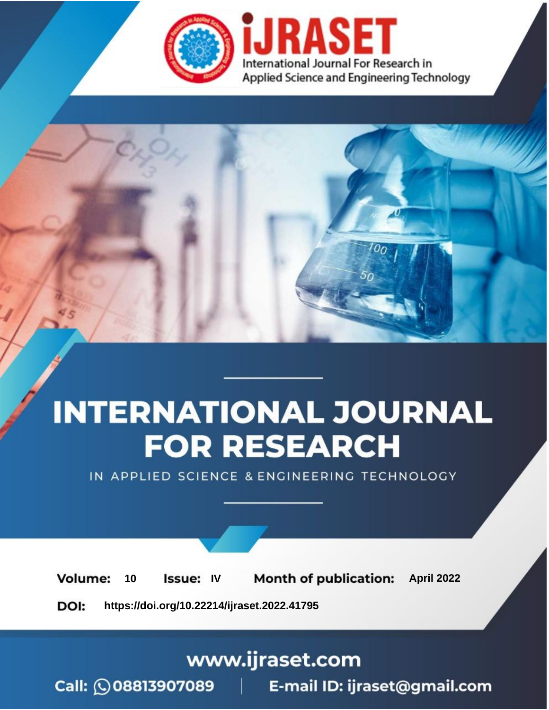

# **INTERNATIONAL JOURNAL FOR RESEARCH**

IN APPLIED SCIENCE & ENGINEERING TECHNOLOGY

10 **Issue: IV Month of publication:** April 2022 **Volume:** 

**https://doi.org/10.22214/ijraset.2022.41795**DOI:

www.ijraset.com

Call: 008813907089 | E-mail ID: ijraset@gmail.com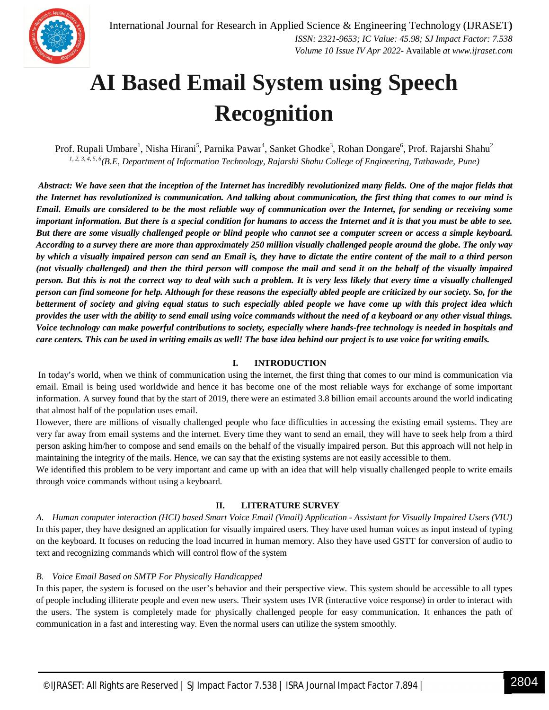

# **AI Based Email System using Speech Recognition**

Prof. Rupali Umbare<sup>1</sup>, Nisha Hirani<sup>5</sup>, Parnika Pawar<sup>4</sup>, Sanket Ghodke<sup>3</sup>, Rohan Dongare<sup>6</sup>, Prof. Rajarshi Shahu<sup>2</sup> *1, 2, 3, 4, 5, 6 (B.E, Department of Information Technology, Rajarshi Shahu College of Engineering, Tathawade, Pune)*

*Abstract: We have seen that the inception of the Internet has incredibly revolutionized many fields. One of the major fields that the Internet has revolutionized is communication. And talking about communication, the first thing that comes to our mind is Email. Emails are considered to be the most reliable way of communication over the Internet, for sending or receiving some important information. But there is a special condition for humans to access the Internet and it is that you must be able to see. But there are some visually challenged people or blind people who cannot see a computer screen or access a simple keyboard. According to a survey there are more than approximately 250 million visually challenged people around the globe. The only way by which a visually impaired person can send an Email is, they have to dictate the entire content of the mail to a third person (not visually challenged) and then the third person will compose the mail and send it on the behalf of the visually impaired person. But this is not the correct way to deal with such a problem. It is very less likely that every time a visually challenged person can find someone for help. Although for these reasons the especially abled people are criticized by our society. So, for the betterment of society and giving equal status to such especially abled people we have come up with this project idea which provides the user with the ability to send email using voice commands without the need of a keyboard or any other visual things. Voice technology can make powerful contributions to society, especially where hands-free technology is needed in hospitals and care centers. This can be used in writing emails as well! The base idea behind our project is to use voice for writing emails.*

# **I. INTRODUCTION**

In today's world, when we think of communication using the internet, the first thing that comes to our mind is communication via email. Email is being used worldwide and hence it has become one of the most reliable ways for exchange of some important information. A survey found that by the start of 2019, there were an estimated 3.8 billion email accounts around the world indicating that almost half of the population uses email.

However, there are millions of visually challenged people who face difficulties in accessing the existing email systems. They are very far away from email systems and the internet. Every time they want to send an email, they will have to seek help from a third person asking him/her to compose and send emails on the behalf of the visually impaired person. But this approach will not help in maintaining the integrity of the mails. Hence, we can say that the existing systems are not easily accessible to them.

We identified this problem to be very important and came up with an idea that will help visually challenged people to write emails through voice commands without using a keyboard.

# **II. LITERATURE SURVEY**

*A. Human computer interaction (HCI) based Smart Voice Email (Vmail) Application - Assistant for Visually Impaired Users (VIU)* In this paper, they have designed an application for visually impaired users. They have used human voices as input instead of typing on the keyboard. It focuses on reducing the load incurred in human memory. Also they have used GSTT for conversion of audio to text and recognizing commands which will control flow of the system

# *B. Voice Email Based on SMTP For Physically Handicapped*

In this paper, the system is focused on the user's behavior and their perspective view. This system should be accessible to all types of people including illiterate people and even new users. Their system uses IVR (interactive voice response) in order to interact with the users. The system is completely made for physically challenged people for easy communication. It enhances the path of communication in a fast and interesting way. Even the normal users can utilize the system smoothly.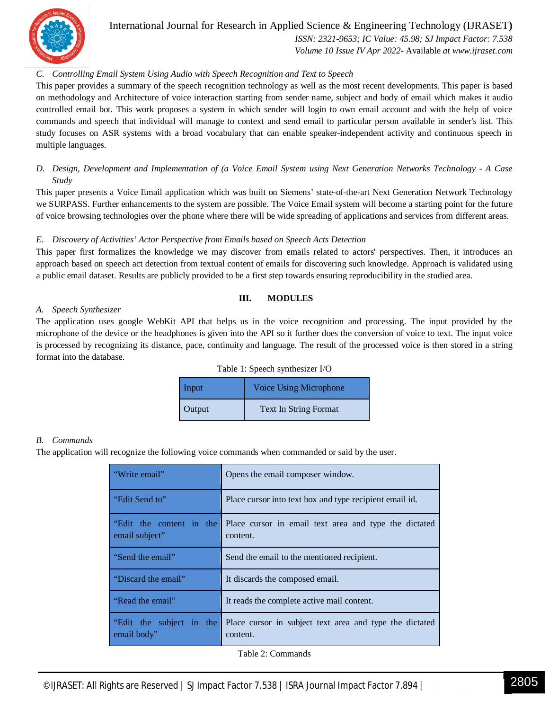

# International Journal for Research in Applied Science & Engineering Technology (IJRASET**)**  *ISSN: 2321-9653; IC Value: 45.98; SJ Impact Factor: 7.538*

 *Volume 10 Issue IV Apr 2022-* Available *at www.ijraset.com*

# *C. Controlling Email System Using Audio with Speech Recognition and Text to Speech*

This paper provides a summary of the speech recognition technology as well as the most recent developments. This paper is based on methodology and Architecture of voice interaction starting from sender name, subject and body of email which makes it audio controlled email bot. This work proposes a system in which sender will login to own email account and with the help of voice commands and speech that individual will manage to context and send email to particular person available in sender's list. This study focuses on ASR systems with a broad vocabulary that can enable speaker-independent activity and continuous speech in multiple languages.

# *D. Design, Development and Implementation of (a Voice Email System using Next Generation Networks Technology - A Case Study*

This paper presents a Voice Email application which was built on Siemens' state-of-the-art Next Generation Network Technology we SURPASS. Further enhancements to the system are possible. The Voice Email system will become a starting point for the future of voice browsing technologies over the phone where there will be wide spreading of applications and services from different areas.

# *E. Discovery of Activities' Actor Perspective from Emails based on Speech Acts Detection*

This paper first formalizes the knowledge we may discover from emails related to actors' perspectives. Then, it introduces an approach based on speech act detection from textual content of emails for discovering such knowledge. Approach is validated using a public email dataset. Results are publicly provided to be a first step towards ensuring reproducibility in the studied area.

#### **III. MODULES**

#### *A. Speech Synthesizer*

The application uses google WebKit API that helps us in the voice recognition and processing. The input provided by the microphone of the device or the headphones is given into the API so it further does the conversion of voice to text. The input voice is processed by recognizing its distance, pace, continuity and language. The result of the processed voice is then stored in a string format into the database.

| Table 1: Speech synthesizer I/O |  |  |
|---------------------------------|--|--|
|---------------------------------|--|--|

| Input  | Voice Using Microphone       |
|--------|------------------------------|
| Output | <b>Text In String Format</b> |

#### *B. Commands*

The application will recognize the following voice commands when commanded or said by the user.

| "Write email"                              | Opens the email composer window.                                    |
|--------------------------------------------|---------------------------------------------------------------------|
| "Edit Send to"                             | Place cursor into text box and type recipient email id.             |
| "Edit the content in the<br>email subject" | Place cursor in email text area and type the dictated<br>content.   |
| "Send the email"                           | Send the email to the mentioned recipient.                          |
| "Discard the email"                        | It discards the composed email.                                     |
| "Read the email"                           | It reads the complete active mail content.                          |
| "Edit the subject in the<br>email body"    | Place cursor in subject text area and type the dictated<br>content. |

Table 2: Commands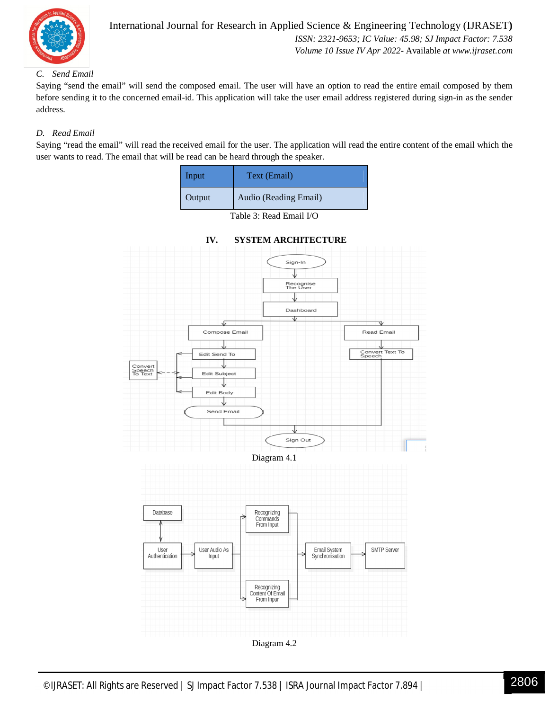

# International Journal for Research in Applied Science & Engineering Technology (IJRASET**)**  *ISSN: 2321-9653; IC Value: 45.98; SJ Impact Factor: 7.538 Volume 10 Issue IV Apr 2022-* Available *at www.ijraset.com*

# *C. Send Email*

Saying "send the email" will send the composed email. The user will have an option to read the entire email composed by them before sending it to the concerned email-id. This application will take the user email address registered during sign-in as the sender address.

# *D. Read Email*

Saying "read the email" will read the received email for the user. The application will read the entire content of the email which the user wants to read. The email that will be read can be heard through the speaker.

| Input  | Text (Email)          |
|--------|-----------------------|
| Output | Audio (Reading Email) |

Table 3: Read Email I/O



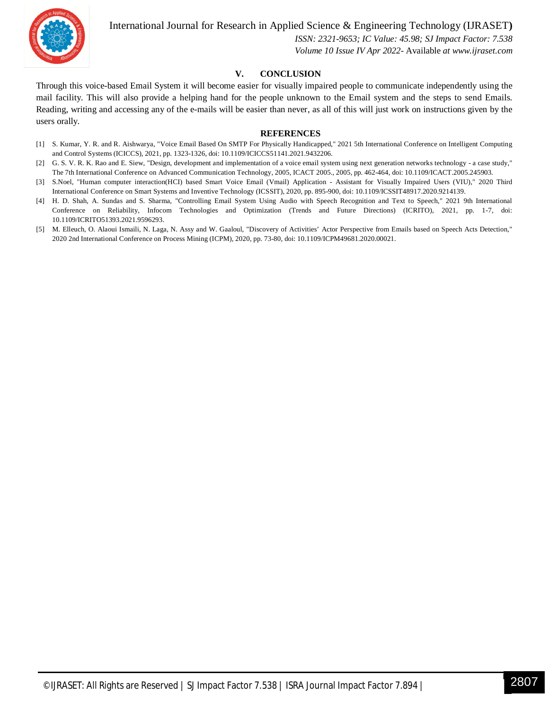

International Journal for Research in Applied Science & Engineering Technology (IJRASET**)**

 *ISSN: 2321-9653; IC Value: 45.98; SJ Impact Factor: 7.538 Volume 10 Issue IV Apr 2022-* Available *at www.ijraset.com*

# **V. CONCLUSION**

Through this voice-based Email System it will become easier for visually impaired people to communicate independently using the mail facility. This will also provide a helping hand for the people unknown to the Email system and the steps to send Emails. Reading, writing and accessing any of the e-mails will be easier than never, as all of this will just work on instructions given by the users orally.

#### **REFERENCES**

- [1] S. Kumar, Y. R. and R. Aishwarya, "Voice Email Based On SMTP For Physically Handicapped," 2021 5th International Conference on Intelligent Computing and Control Systems (ICICCS), 2021, pp. 1323-1326, doi: 10.1109/ICICCS51141.2021.9432206.
- [2] G. S. V. R. K. Rao and E. Siew, "Design, development and implementation of a voice email system using next generation networks technology a case study," The 7th International Conference on Advanced Communication Technology, 2005, ICACT 2005., 2005, pp. 462-464, doi: 10.1109/ICACT.2005.245903.
- [3] S.Noel, "Human computer interaction(HCI) based Smart Voice Email (Vmail) Application Assistant for Visually Impaired Users (VIU)," 2020 Third International Conference on Smart Systems and Inventive Technology (ICSSIT), 2020, pp. 895-900, doi: 10.1109/ICSSIT48917.2020.9214139.
- [4] H. D. Shah, A. Sundas and S. Sharma, "Controlling Email System Using Audio with Speech Recognition and Text to Speech," 2021 9th International Conference on Reliability, Infocom Technologies and Optimization (Trends and Future Directions) (ICRITO), 2021, pp. 1-7, doi: 10.1109/ICRITO51393.2021.9596293.
- [5] M. Elleuch, O. Alaoui Ismaili, N. Laga, N. Assy and W. Gaaloul, "Discovery of Activities' Actor Perspective from Emails based on Speech Acts Detection," 2020 2nd International Conference on Process Mining (ICPM), 2020, pp. 73-80, doi: 10.1109/ICPM49681.2020.00021.